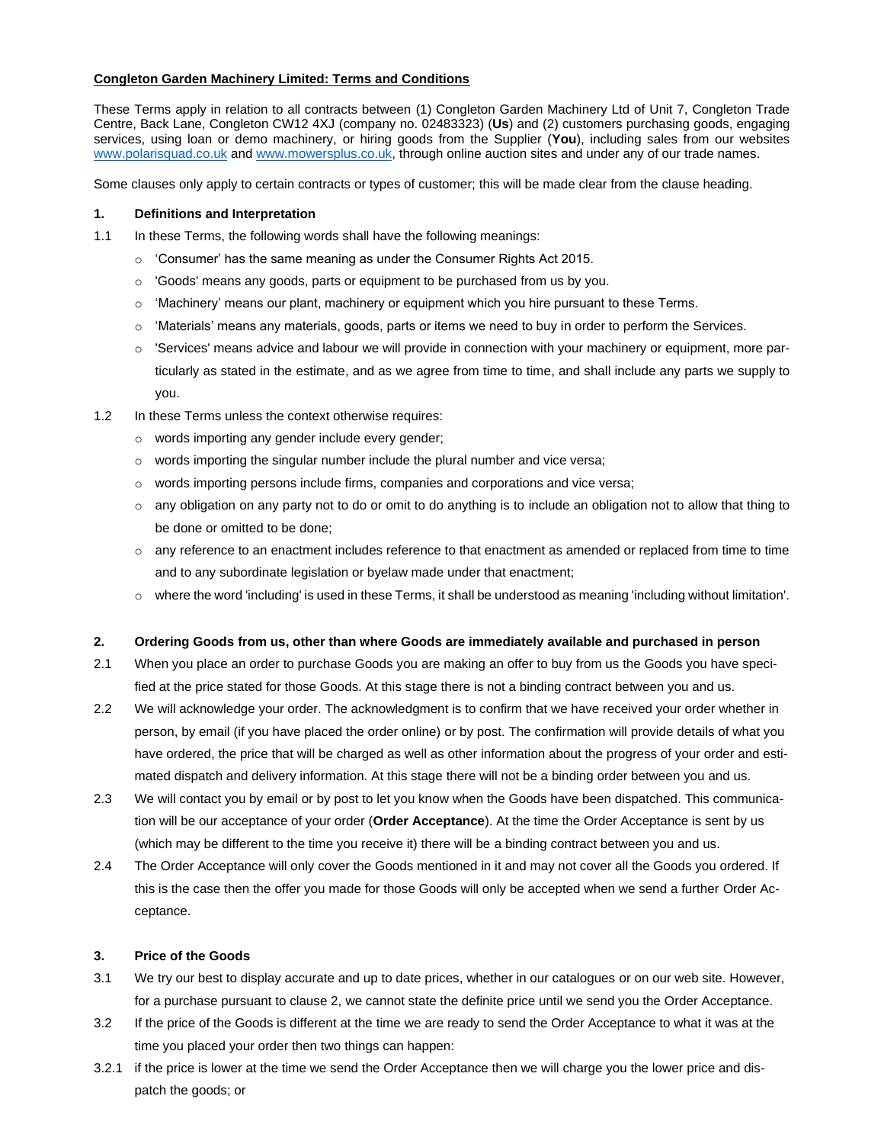# **Congleton Garden Machinery Limited: Terms and Conditions**

These Terms apply in relation to all contracts between (1) Congleton Garden Machinery Ltd of Unit 7, Congleton Trade Centre, Back Lane, Congleton CW12 4XJ (company no. 02483323) (**Us**) and (2) customers purchasing goods, engaging services, using loan or demo machinery, or hiring goods from the Supplier (**You**), including sales from our websites [www.polarisquad.co.uk](http://www.polarisquad.co.uk/) an[d www.mowersplus.co.uk,](http://www.mowersplus.co.uk/) through online auction sites and under any of our trade names.

Some clauses only apply to certain contracts or types of customer; this will be made clear from the clause heading.

# **1. Definitions and Interpretation**

- 1.1 In these Terms, the following words shall have the following meanings:
	- $\circ$  'Consumer' has the same meaning as under the Consumer Rights Act 2015.
	- $\circ$  'Goods' means any goods, parts or equipment to be purchased from us by you.
	- $\circ$  'Machinery' means our plant, machinery or equipment which you hire pursuant to these Terms.
	- o 'Materials' means any materials, goods, parts or items we need to buy in order to perform the Services.
	- o 'Services' means advice and labour we will provide in connection with your machinery or equipment, more particularly as stated in the estimate, and as we agree from time to time, and shall include any parts we supply to you.
- 1.2 In these Terms unless the context otherwise requires:
	- o words importing any gender include every gender;
	- $\circ$  words importing the singular number include the plural number and vice versa;
	- $\circ$  words importing persons include firms, companies and corporations and vice versa;
	- $\circ$  any obligation on any party not to do or omit to do anything is to include an obligation not to allow that thing to be done or omitted to be done;
	- $\circ$  any reference to an enactment includes reference to that enactment as amended or replaced from time to time and to any subordinate legislation or byelaw made under that enactment;
	- o where the word 'including' is used in these Terms, it shall be understood as meaning 'including without limitation'.

# **2. Ordering Goods from us, other than where Goods are immediately available and purchased in person**

- 2.1 When you place an order to purchase Goods you are making an offer to buy from us the Goods you have specified at the price stated for those Goods. At this stage there is not a binding contract between you and us.
- 2.2 We will acknowledge your order. The acknowledgment is to confirm that we have received your order whether in person, by email (if you have placed the order online) or by post. The confirmation will provide details of what you have ordered, the price that will be charged as well as other information about the progress of your order and estimated dispatch and delivery information. At this stage there will not be a binding order between you and us.
- 2.3 We will contact you by email or by post to let you know when the Goods have been dispatched. This communication will be our acceptance of your order (**Order Acceptance**). At the time the Order Acceptance is sent by us (which may be different to the time you receive it) there will be a binding contract between you and us.
- 2.4 The Order Acceptance will only cover the Goods mentioned in it and may not cover all the Goods you ordered. If this is the case then the offer you made for those Goods will only be accepted when we send a further Order Acceptance.

### **3. Price of the Goods**

- 3.1 We try our best to display accurate and up to date prices, whether in our catalogues or on our web site. However, for a purchase pursuant to clause 2, we cannot state the definite price until we send you the Order Acceptance.
- 3.2 If the price of the Goods is different at the time we are ready to send the Order Acceptance to what it was at the time you placed your order then two things can happen:
- 3.2.1 if the price is lower at the time we send the Order Acceptance then we will charge you the lower price and dispatch the goods; or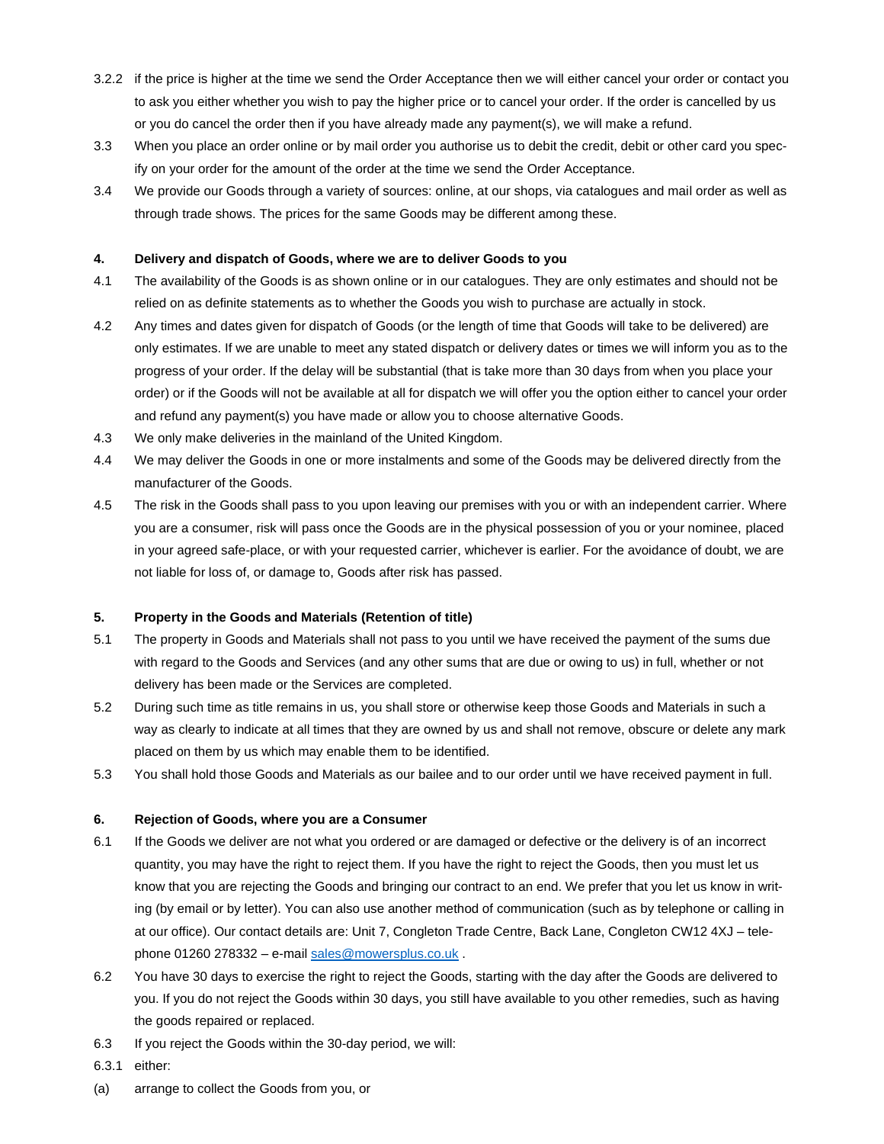- 3.2.2 if the price is higher at the time we send the Order Acceptance then we will either cancel your order or contact you to ask you either whether you wish to pay the higher price or to cancel your order. If the order is cancelled by us or you do cancel the order then if you have already made any payment(s), we will make a refund.
- 3.3 When you place an order online or by mail order you authorise us to debit the credit, debit or other card you specify on your order for the amount of the order at the time we send the Order Acceptance.
- 3.4 We provide our Goods through a variety of sources: online, at our shops, via catalogues and mail order as well as through trade shows. The prices for the same Goods may be different among these.

# **4. Delivery and dispatch of Goods, where we are to deliver Goods to you**

- 4.1 The availability of the Goods is as shown online or in our catalogues. They are only estimates and should not be relied on as definite statements as to whether the Goods you wish to purchase are actually in stock.
- 4.2 Any times and dates given for dispatch of Goods (or the length of time that Goods will take to be delivered) are only estimates. If we are unable to meet any stated dispatch or delivery dates or times we will inform you as to the progress of your order. If the delay will be substantial (that is take more than 30 days from when you place your order) or if the Goods will not be available at all for dispatch we will offer you the option either to cancel your order and refund any payment(s) you have made or allow you to choose alternative Goods.
- 4.3 We only make deliveries in the mainland of the United Kingdom.
- 4.4 We may deliver the Goods in one or more instalments and some of the Goods may be delivered directly from the manufacturer of the Goods.
- 4.5 The risk in the Goods shall pass to you upon leaving our premises with you or with an independent carrier. Where you are a consumer, risk will pass once the Goods are in the physical possession of you or your nominee, placed in your agreed safe-place, or with your requested carrier, whichever is earlier. For the avoidance of doubt, we are not liable for loss of, or damage to, Goods after risk has passed.

### **5. Property in the Goods and Materials (Retention of title)**

- 5.1 The property in Goods and Materials shall not pass to you until we have received the payment of the sums due with regard to the Goods and Services (and any other sums that are due or owing to us) in full, whether or not delivery has been made or the Services are completed.
- 5.2 During such time as title remains in us, you shall store or otherwise keep those Goods and Materials in such a way as clearly to indicate at all times that they are owned by us and shall not remove, obscure or delete any mark placed on them by us which may enable them to be identified.
- 5.3 You shall hold those Goods and Materials as our bailee and to our order until we have received payment in full.

# **6. Rejection of Goods, where you are a Consumer**

- 6.1 If the Goods we deliver are not what you ordered or are damaged or defective or the delivery is of an incorrect quantity, you may have the right to reject them. If you have the right to reject the Goods, then you must let us know that you are rejecting the Goods and bringing our contract to an end. We prefer that you let us know in writing (by email or by letter). You can also use another method of communication (such as by telephone or calling in at our office). Our contact details are: Unit 7, Congleton Trade Centre, Back Lane, Congleton CW12 4XJ – telephone 01260 278332 - e-mail [sales@mowersplus.co.uk](mailto:sales@mowersplus.co.uk).
- 6.2 You have 30 days to exercise the right to reject the Goods, starting with the day after the Goods are delivered to you. If you do not reject the Goods within 30 days, you still have available to you other remedies, such as having the goods repaired or replaced.
- 6.3 If you reject the Goods within the 30-day period, we will:
- 6.3.1 either:
- (a) arrange to collect the Goods from you, or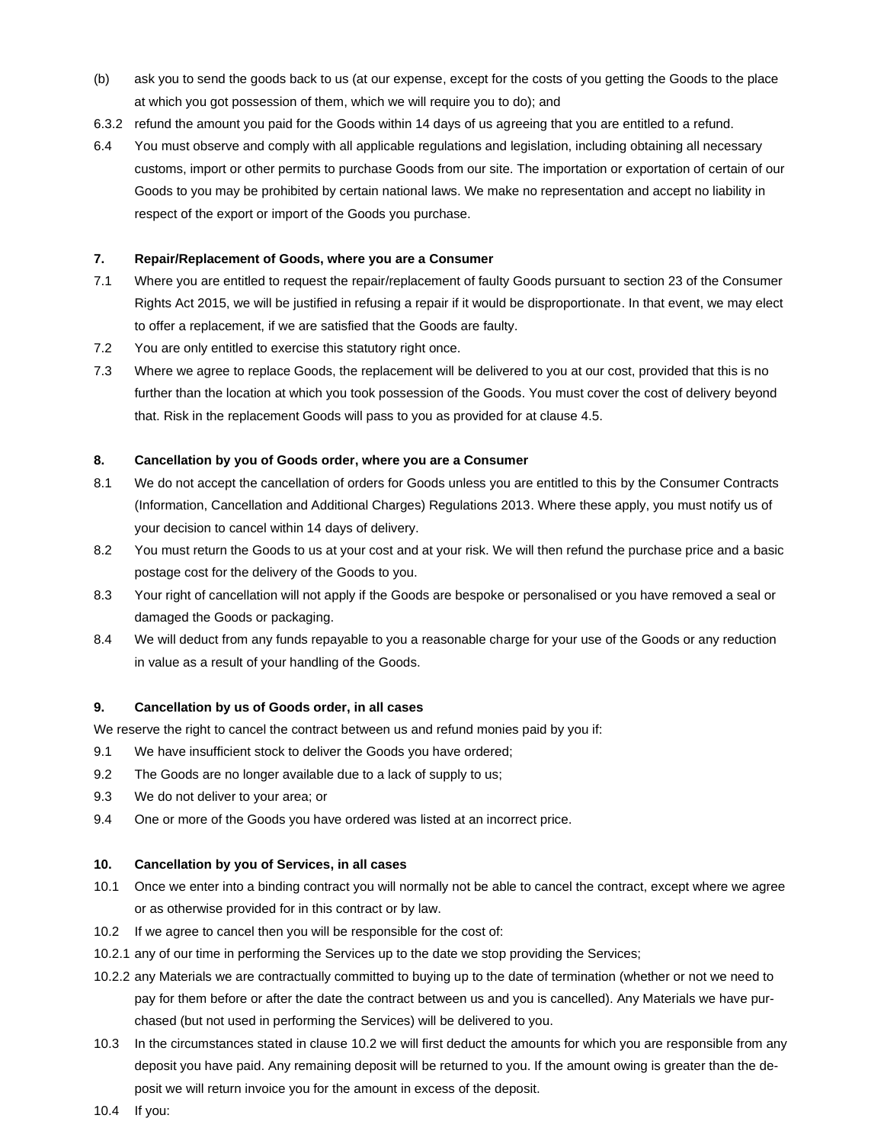- (b) ask you to send the goods back to us (at our expense, except for the costs of you getting the Goods to the place at which you got possession of them, which we will require you to do); and
- 6.3.2 refund the amount you paid for the Goods within 14 days of us agreeing that you are entitled to a refund.
- 6.4 You must observe and comply with all applicable regulations and legislation, including obtaining all necessary customs, import or other permits to purchase Goods from our site. The importation or exportation of certain of our Goods to you may be prohibited by certain national laws. We make no representation and accept no liability in respect of the export or import of the Goods you purchase.

### **7. Repair/Replacement of Goods, where you are a Consumer**

- 7.1 Where you are entitled to request the repair/replacement of faulty Goods pursuant to section 23 of the Consumer Rights Act 2015, we will be justified in refusing a repair if it would be disproportionate. In that event, we may elect to offer a replacement, if we are satisfied that the Goods are faulty.
- 7.2 You are only entitled to exercise this statutory right once.
- 7.3 Where we agree to replace Goods, the replacement will be delivered to you at our cost, provided that this is no further than the location at which you took possession of the Goods. You must cover the cost of delivery beyond that. Risk in the replacement Goods will pass to you as provided for at clause 4.5.

# **8. Cancellation by you of Goods order, where you are a Consumer**

- 8.1 We do not accept the cancellation of orders for Goods unless you are entitled to this by the Consumer Contracts (Information, Cancellation and Additional Charges) Regulations 2013. Where these apply, you must notify us of your decision to cancel within 14 days of delivery.
- 8.2 You must return the Goods to us at your cost and at your risk. We will then refund the purchase price and a basic postage cost for the delivery of the Goods to you.
- 8.3 Your right of cancellation will not apply if the Goods are bespoke or personalised or you have removed a seal or damaged the Goods or packaging.
- 8.4 We will deduct from any funds repayable to you a reasonable charge for your use of the Goods or any reduction in value as a result of your handling of the Goods.

# **9. Cancellation by us of Goods order, in all cases**

We reserve the right to cancel the contract between us and refund monies paid by you if:

- 9.1 We have insufficient stock to deliver the Goods you have ordered;
- 9.2 The Goods are no longer available due to a lack of supply to us;
- 9.3 We do not deliver to your area; or
- 9.4 One or more of the Goods you have ordered was listed at an incorrect price.

### **10. Cancellation by you of Services, in all cases**

- 10.1 Once we enter into a binding contract you will normally not be able to cancel the contract, except where we agree or as otherwise provided for in this contract or by law.
- 10.2 If we agree to cancel then you will be responsible for the cost of:
- 10.2.1 any of our time in performing the Services up to the date we stop providing the Services;
- 10.2.2 any Materials we are contractually committed to buying up to the date of termination (whether or not we need to pay for them before or after the date the contract between us and you is cancelled). Any Materials we have purchased (but not used in performing the Services) will be delivered to you.
- 10.3 In the circumstances stated in clause 10.2 we will first deduct the amounts for which you are responsible from any deposit you have paid. Any remaining deposit will be returned to you. If the amount owing is greater than the deposit we will return invoice you for the amount in excess of the deposit.
- 10.4 If you: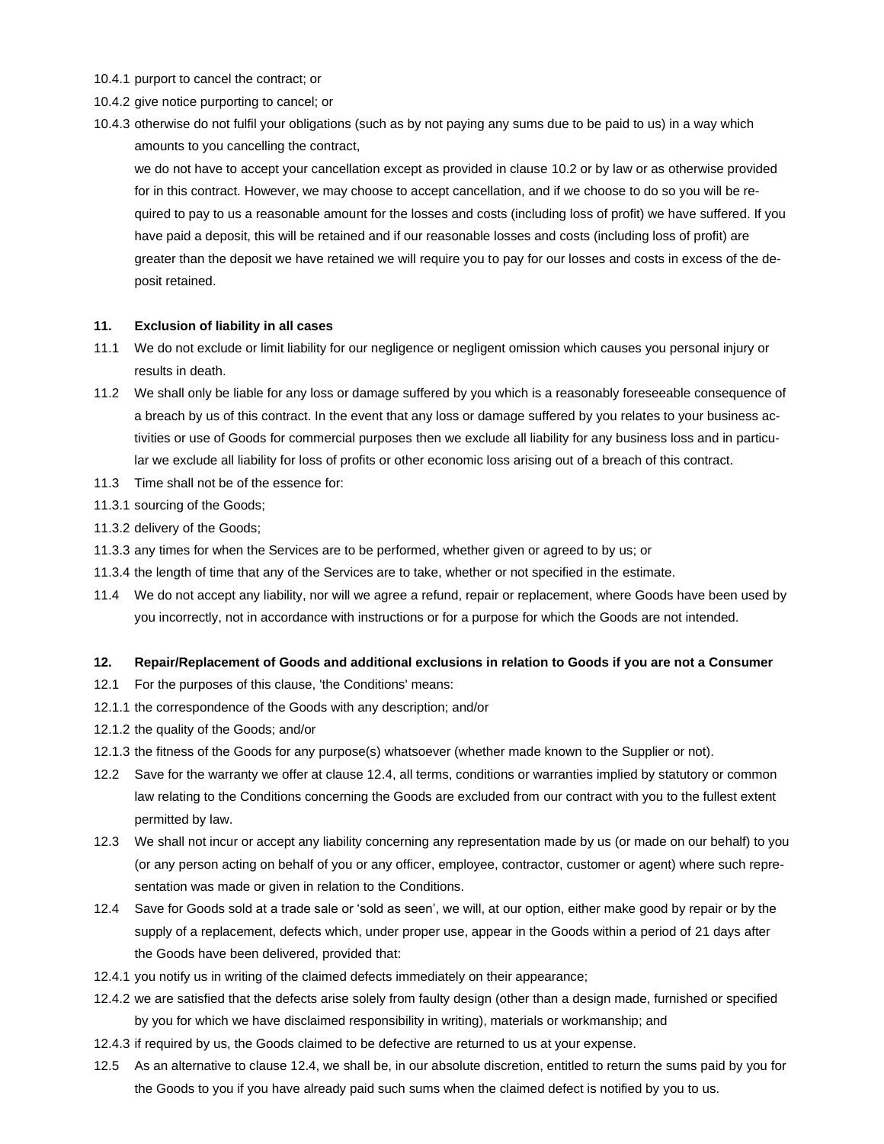- 10.4.1 purport to cancel the contract; or
- 10.4.2 give notice purporting to cancel; or
- 10.4.3 otherwise do not fulfil your obligations (such as by not paying any sums due to be paid to us) in a way which amounts to you cancelling the contract,

we do not have to accept your cancellation except as provided in clause 10.2 or by law or as otherwise provided for in this contract. However, we may choose to accept cancellation, and if we choose to do so you will be required to pay to us a reasonable amount for the losses and costs (including loss of profit) we have suffered. If you have paid a deposit, this will be retained and if our reasonable losses and costs (including loss of profit) are greater than the deposit we have retained we will require you to pay for our losses and costs in excess of the deposit retained.

# **11. Exclusion of liability in all cases**

- 11.1 We do not exclude or limit liability for our negligence or negligent omission which causes you personal injury or results in death.
- 11.2 We shall only be liable for any loss or damage suffered by you which is a reasonably foreseeable consequence of a breach by us of this contract. In the event that any loss or damage suffered by you relates to your business activities or use of Goods for commercial purposes then we exclude all liability for any business loss and in particular we exclude all liability for loss of profits or other economic loss arising out of a breach of this contract.
- 11.3 Time shall not be of the essence for:
- 11.3.1 sourcing of the Goods;
- 11.3.2 delivery of the Goods;
- 11.3.3 any times for when the Services are to be performed, whether given or agreed to by us; or
- 11.3.4 the length of time that any of the Services are to take, whether or not specified in the estimate.
- 11.4 We do not accept any liability, nor will we agree a refund, repair or replacement, where Goods have been used by you incorrectly, not in accordance with instructions or for a purpose for which the Goods are not intended.

### **12. Repair/Replacement of Goods and additional exclusions in relation to Goods if you are not a Consumer**

- 12.1 For the purposes of this clause, 'the Conditions' means:
- 12.1.1 the correspondence of the Goods with any description; and/or
- 12.1.2 the quality of the Goods; and/or
- 12.1.3 the fitness of the Goods for any purpose(s) whatsoever (whether made known to the Supplier or not).
- 12.2 Save for the warranty we offer at clause 12.4, all terms, conditions or warranties implied by statutory or common law relating to the Conditions concerning the Goods are excluded from our contract with you to the fullest extent permitted by law.
- 12.3 We shall not incur or accept any liability concerning any representation made by us (or made on our behalf) to you (or any person acting on behalf of you or any officer, employee, contractor, customer or agent) where such representation was made or given in relation to the Conditions.
- 12.4 Save for Goods sold at a trade sale or 'sold as seen', we will, at our option, either make good by repair or by the supply of a replacement, defects which, under proper use, appear in the Goods within a period of 21 days after the Goods have been delivered, provided that:
- 12.4.1 you notify us in writing of the claimed defects immediately on their appearance;
- 12.4.2 we are satisfied that the defects arise solely from faulty design (other than a design made, furnished or specified by you for which we have disclaimed responsibility in writing), materials or workmanship; and
- 12.4.3 if required by us, the Goods claimed to be defective are returned to us at your expense.
- 12.5 As an alternative to clause 12.4, we shall be, in our absolute discretion, entitled to return the sums paid by you for the Goods to you if you have already paid such sums when the claimed defect is notified by you to us.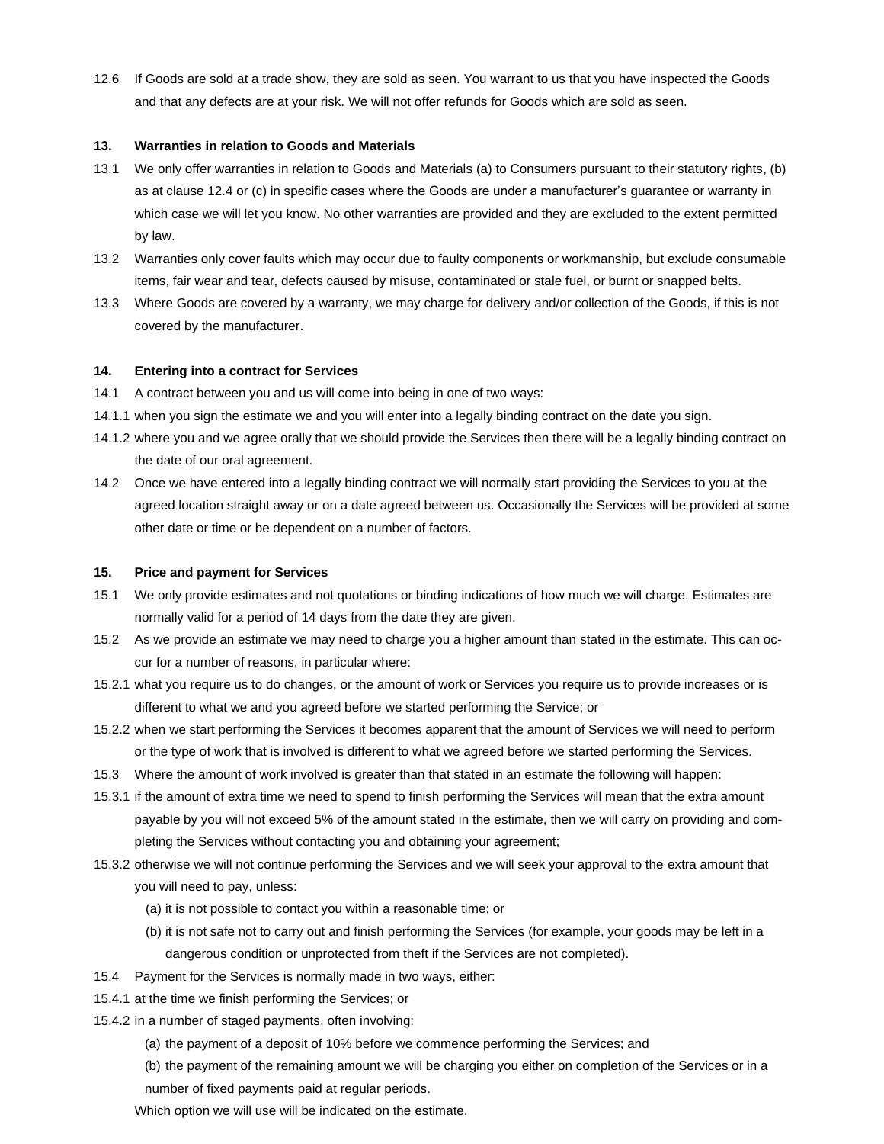12.6 If Goods are sold at a trade show, they are sold as seen. You warrant to us that you have inspected the Goods and that any defects are at your risk. We will not offer refunds for Goods which are sold as seen.

### **13. Warranties in relation to Goods and Materials**

- 13.1 We only offer warranties in relation to Goods and Materials (a) to Consumers pursuant to their statutory rights, (b) as at clause 12.4 or (c) in specific cases where the Goods are under a manufacturer's guarantee or warranty in which case we will let you know. No other warranties are provided and they are excluded to the extent permitted by law.
- 13.2 Warranties only cover faults which may occur due to faulty components or workmanship, but exclude consumable items, fair wear and tear, defects caused by misuse, contaminated or stale fuel, or burnt or snapped belts.
- 13.3 Where Goods are covered by a warranty, we may charge for delivery and/or collection of the Goods, if this is not covered by the manufacturer.

### **14. Entering into a contract for Services**

- 14.1 A contract between you and us will come into being in one of two ways:
- 14.1.1 when you sign the estimate we and you will enter into a legally binding contract on the date you sign.
- 14.1.2 where you and we agree orally that we should provide the Services then there will be a legally binding contract on the date of our oral agreement.
- 14.2 Once we have entered into a legally binding contract we will normally start providing the Services to you at the agreed location straight away or on a date agreed between us. Occasionally the Services will be provided at some other date or time or be dependent on a number of factors.

# **15. Price and payment for Services**

- 15.1 We only provide estimates and not quotations or binding indications of how much we will charge. Estimates are normally valid for a period of 14 days from the date they are given.
- 15.2 As we provide an estimate we may need to charge you a higher amount than stated in the estimate. This can occur for a number of reasons, in particular where:
- 15.2.1 what you require us to do changes, or the amount of work or Services you require us to provide increases or is different to what we and you agreed before we started performing the Service; or
- 15.2.2 when we start performing the Services it becomes apparent that the amount of Services we will need to perform or the type of work that is involved is different to what we agreed before we started performing the Services.
- 15.3 Where the amount of work involved is greater than that stated in an estimate the following will happen:
- 15.3.1 if the amount of extra time we need to spend to finish performing the Services will mean that the extra amount payable by you will not exceed 5% of the amount stated in the estimate, then we will carry on providing and completing the Services without contacting you and obtaining your agreement;
- 15.3.2 otherwise we will not continue performing the Services and we will seek your approval to the extra amount that you will need to pay, unless:
	- (a) it is not possible to contact you within a reasonable time; or
	- (b) it is not safe not to carry out and finish performing the Services (for example, your goods may be left in a dangerous condition or unprotected from theft if the Services are not completed).
- 15.4 Payment for the Services is normally made in two ways, either:
- 15.4.1 at the time we finish performing the Services; or
- 15.4.2 in a number of staged payments, often involving:
	- (a) the payment of a deposit of 10% before we commence performing the Services; and
	- (b) the payment of the remaining amount we will be charging you either on completion of the Services or in a number of fixed payments paid at regular periods.

Which option we will use will be indicated on the estimate.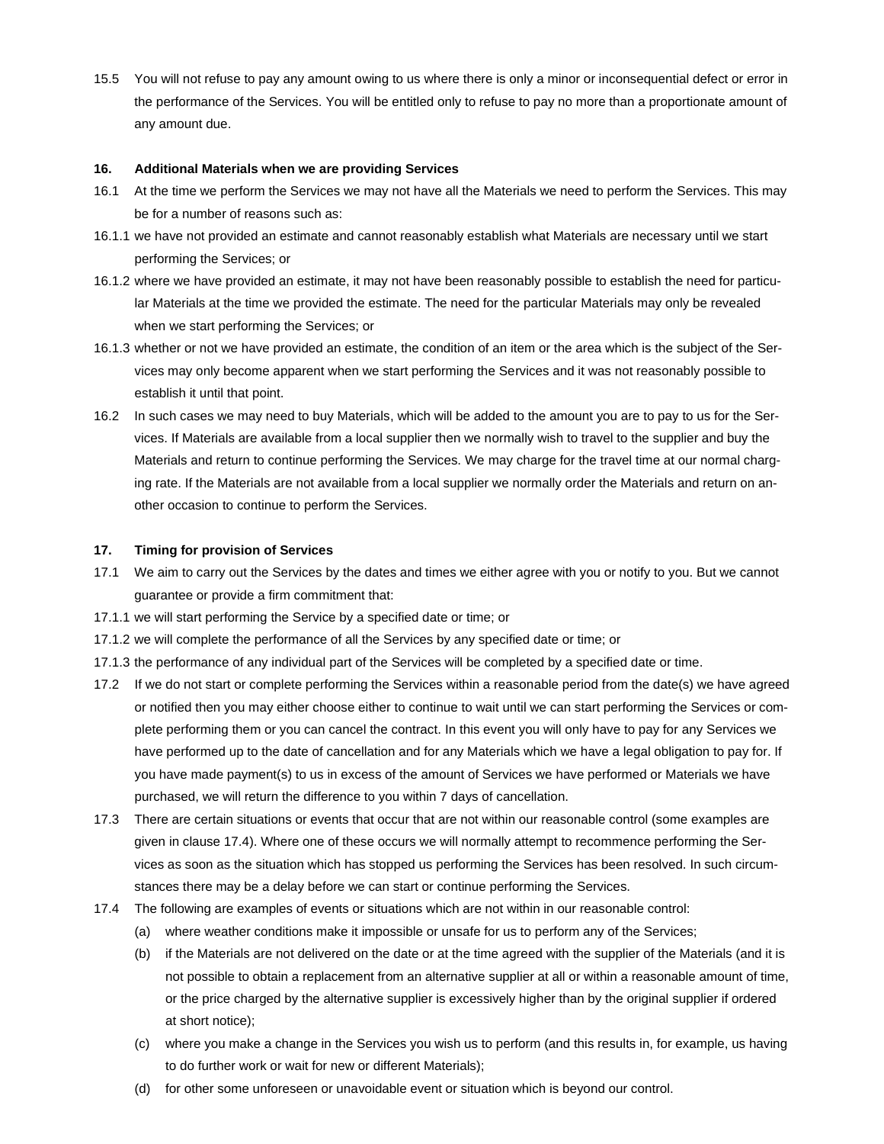15.5 You will not refuse to pay any amount owing to us where there is only a minor or inconsequential defect or error in the performance of the Services. You will be entitled only to refuse to pay no more than a proportionate amount of any amount due.

#### **16. Additional Materials when we are providing Services**

- 16.1 At the time we perform the Services we may not have all the Materials we need to perform the Services. This may be for a number of reasons such as:
- 16.1.1 we have not provided an estimate and cannot reasonably establish what Materials are necessary until we start performing the Services; or
- 16.1.2 where we have provided an estimate, it may not have been reasonably possible to establish the need for particular Materials at the time we provided the estimate. The need for the particular Materials may only be revealed when we start performing the Services; or
- 16.1.3 whether or not we have provided an estimate, the condition of an item or the area which is the subject of the Services may only become apparent when we start performing the Services and it was not reasonably possible to establish it until that point.
- 16.2 In such cases we may need to buy Materials, which will be added to the amount you are to pay to us for the Services. If Materials are available from a local supplier then we normally wish to travel to the supplier and buy the Materials and return to continue performing the Services. We may charge for the travel time at our normal charging rate. If the Materials are not available from a local supplier we normally order the Materials and return on another occasion to continue to perform the Services.

### **17. Timing for provision of Services**

- 17.1 We aim to carry out the Services by the dates and times we either agree with you or notify to you. But we cannot guarantee or provide a firm commitment that:
- 17.1.1 we will start performing the Service by a specified date or time; or
- 17.1.2 we will complete the performance of all the Services by any specified date or time; or
- 17.1.3 the performance of any individual part of the Services will be completed by a specified date or time.
- 17.2 If we do not start or complete performing the Services within a reasonable period from the date(s) we have agreed or notified then you may either choose either to continue to wait until we can start performing the Services or complete performing them or you can cancel the contract. In this event you will only have to pay for any Services we have performed up to the date of cancellation and for any Materials which we have a legal obligation to pay for. If you have made payment(s) to us in excess of the amount of Services we have performed or Materials we have purchased, we will return the difference to you within 7 days of cancellation.
- 17.3 There are certain situations or events that occur that are not within our reasonable control (some examples are given in clause 17.4). Where one of these occurs we will normally attempt to recommence performing the Services as soon as the situation which has stopped us performing the Services has been resolved. In such circumstances there may be a delay before we can start or continue performing the Services.
- 17.4 The following are examples of events or situations which are not within in our reasonable control:
	- (a) where weather conditions make it impossible or unsafe for us to perform any of the Services;
	- (b) if the Materials are not delivered on the date or at the time agreed with the supplier of the Materials (and it is not possible to obtain a replacement from an alternative supplier at all or within a reasonable amount of time, or the price charged by the alternative supplier is excessively higher than by the original supplier if ordered at short notice);
	- (c) where you make a change in the Services you wish us to perform (and this results in, for example, us having to do further work or wait for new or different Materials);
	- (d) for other some unforeseen or unavoidable event or situation which is beyond our control.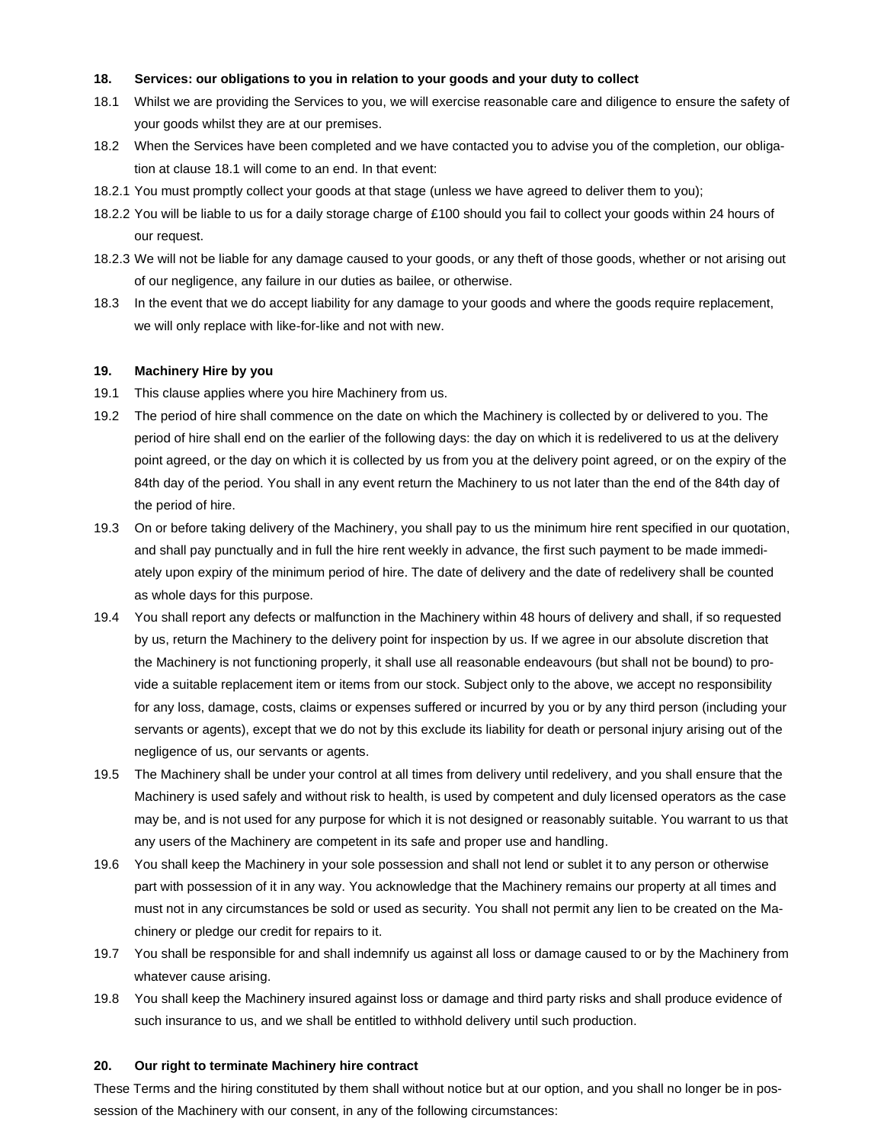### **18. Services: our obligations to you in relation to your goods and your duty to collect**

- 18.1 Whilst we are providing the Services to you, we will exercise reasonable care and diligence to ensure the safety of your goods whilst they are at our premises.
- 18.2 When the Services have been completed and we have contacted you to advise you of the completion, our obligation at clause 18.1 will come to an end. In that event:
- 18.2.1 You must promptly collect your goods at that stage (unless we have agreed to deliver them to you);
- 18.2.2 You will be liable to us for a daily storage charge of £100 should you fail to collect your goods within 24 hours of our request.
- 18.2.3 We will not be liable for any damage caused to your goods, or any theft of those goods, whether or not arising out of our negligence, any failure in our duties as bailee, or otherwise.
- 18.3 In the event that we do accept liability for any damage to your goods and where the goods require replacement, we will only replace with like-for-like and not with new.

#### **19. Machinery Hire by you**

- 19.1 This clause applies where you hire Machinery from us.
- 19.2 The period of hire shall commence on the date on which the Machinery is collected by or delivered to you. The period of hire shall end on the earlier of the following days: the day on which it is redelivered to us at the delivery point agreed, or the day on which it is collected by us from you at the delivery point agreed, or on the expiry of the 84th day of the period. You shall in any event return the Machinery to us not later than the end of the 84th day of the period of hire.
- 19.3 On or before taking delivery of the Machinery, you shall pay to us the minimum hire rent specified in our quotation, and shall pay punctually and in full the hire rent weekly in advance, the first such payment to be made immediately upon expiry of the minimum period of hire. The date of delivery and the date of redelivery shall be counted as whole days for this purpose.
- 19.4 You shall report any defects or malfunction in the Machinery within 48 hours of delivery and shall, if so requested by us, return the Machinery to the delivery point for inspection by us. If we agree in our absolute discretion that the Machinery is not functioning properly, it shall use all reasonable endeavours (but shall not be bound) to provide a suitable replacement item or items from our stock. Subject only to the above, we accept no responsibility for any loss, damage, costs, claims or expenses suffered or incurred by you or by any third person (including your servants or agents), except that we do not by this exclude its liability for death or personal injury arising out of the negligence of us, our servants or agents.
- 19.5 The Machinery shall be under your control at all times from delivery until redelivery, and you shall ensure that the Machinery is used safely and without risk to health, is used by competent and duly licensed operators as the case may be, and is not used for any purpose for which it is not designed or reasonably suitable. You warrant to us that any users of the Machinery are competent in its safe and proper use and handling.
- 19.6 You shall keep the Machinery in your sole possession and shall not lend or sublet it to any person or otherwise part with possession of it in any way. You acknowledge that the Machinery remains our property at all times and must not in any circumstances be sold or used as security. You shall not permit any lien to be created on the Machinery or pledge our credit for repairs to it.
- 19.7 You shall be responsible for and shall indemnify us against all loss or damage caused to or by the Machinery from whatever cause arising.
- 19.8 You shall keep the Machinery insured against loss or damage and third party risks and shall produce evidence of such insurance to us, and we shall be entitled to withhold delivery until such production.

### **20. Our right to terminate Machinery hire contract**

These Terms and the hiring constituted by them shall without notice but at our option, and you shall no longer be in possession of the Machinery with our consent, in any of the following circumstances: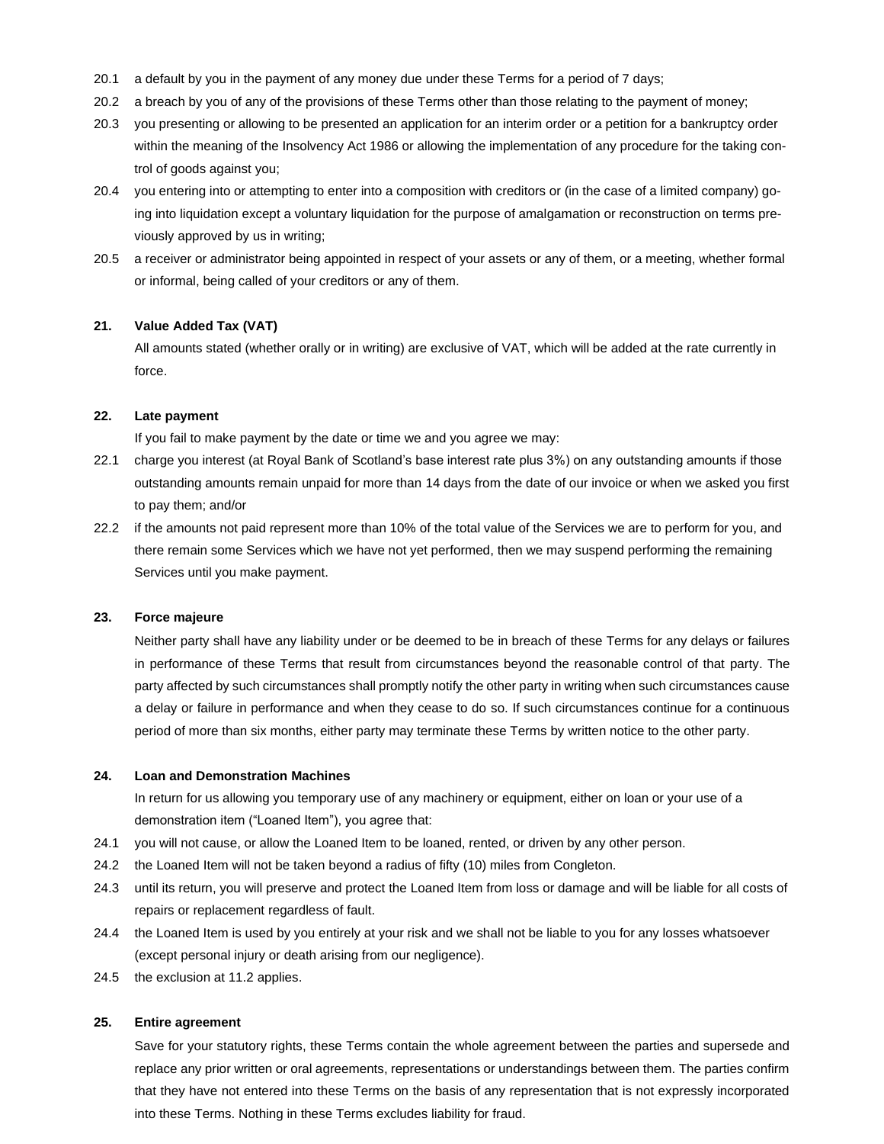- 20.1 a default by you in the payment of any money due under these Terms for a period of 7 days;
- 20.2 a breach by you of any of the provisions of these Terms other than those relating to the payment of money;
- 20.3 you presenting or allowing to be presented an application for an interim order or a petition for a bankruptcy order within the meaning of the Insolvency Act 1986 or allowing the implementation of any procedure for the taking control of goods against you;
- 20.4 you entering into or attempting to enter into a composition with creditors or (in the case of a limited company) going into liquidation except a voluntary liquidation for the purpose of amalgamation or reconstruction on terms previously approved by us in writing;
- 20.5 a receiver or administrator being appointed in respect of your assets or any of them, or a meeting, whether formal or informal, being called of your creditors or any of them.

# **21. Value Added Tax (VAT)**

All amounts stated (whether orally or in writing) are exclusive of VAT, which will be added at the rate currently in force.

#### **22. Late payment**

If you fail to make payment by the date or time we and you agree we may:

- 22.1 charge you interest (at Royal Bank of Scotland's base interest rate plus 3%) on any outstanding amounts if those outstanding amounts remain unpaid for more than 14 days from the date of our invoice or when we asked you first to pay them; and/or
- 22.2 if the amounts not paid represent more than 10% of the total value of the Services we are to perform for you, and there remain some Services which we have not yet performed, then we may suspend performing the remaining Services until you make payment.

#### **23. Force majeure**

 Neither party shall have any liability under or be deemed to be in breach of these Terms for any delays or failures in performance of these Terms that result from circumstances beyond the reasonable control of that party. The party affected by such circumstances shall promptly notify the other party in writing when such circumstances cause a delay or failure in performance and when they cease to do so. If such circumstances continue for a continuous period of more than six months, either party may terminate these Terms by written notice to the other party.

#### **24. Loan and Demonstration Machines**

In return for us allowing you temporary use of any machinery or equipment, either on loan or your use of a demonstration item ("Loaned Item"), you agree that:

- 24.1 you will not cause, or allow the Loaned Item to be loaned, rented, or driven by any other person.
- 24.2 the Loaned Item will not be taken beyond a radius of fifty (10) miles from Congleton.
- 24.3 until its return, you will preserve and protect the Loaned Item from loss or damage and will be liable for all costs of repairs or replacement regardless of fault.
- 24.4 the Loaned Item is used by you entirely at your risk and we shall not be liable to you for any losses whatsoever (except personal injury or death arising from our negligence).
- 24.5 the exclusion at 11.2 applies.

### **25. Entire agreement**

 Save for your statutory rights, these Terms contain the whole agreement between the parties and supersede and replace any prior written or oral agreements, representations or understandings between them. The parties confirm that they have not entered into these Terms on the basis of any representation that is not expressly incorporated into these Terms. Nothing in these Terms excludes liability for fraud.